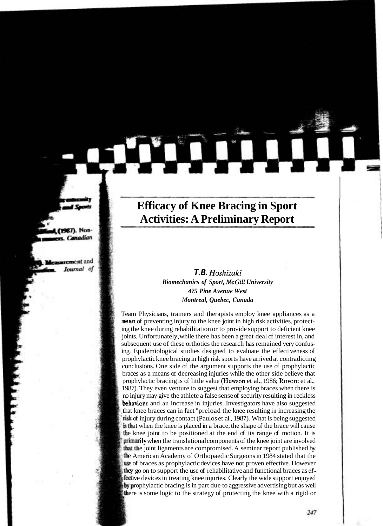# **Efficacy of Knee Bracing in Sport Activities: A Preliminary Report**

# **T.B.** *Hoshizaki Biomechanics of Sport, McGill University 475 Pine Avenue West Montreal, Quebec, Canada*

Team Physicians, trainers and therapists employ knee appliances as a **mean** of preventing injury to the knee joint in high risk activities, protecting the knee during rehabilitation or to provide support to deficient knee joints. Unfortunately, while there has been a great deal of interest in, and subsequent use of these orthotics the research has remained very confusing. Epidemiological studies designed to evaluate the effectiveness of prophylactic knee bracing in high risk sports have arrived at contradicting conclusions. One side of the argument supports the use of prophylactic braces as a means of decreasing injuries while the other side believe that prophylactic bracing is of little value (Hewson et al., 1986; Rovere et al., 1987). They even venture to suggest that employing braces when there is no injury may give the athlete a false sense of security resulting in reckless behaviour and an increase in injuries. Investigators have also suggested that knee braces can in fact "preload the knee resulting in increasing the of injury during contact (Paulos et al., 1987). What is being suggested at when the knee is placed in a brace, the shape of the brace will cause the knee joint to be positioned at the end of its range of motion. It is **primarily** when the translational components of the knee joint are involved that the joint ligaments are compromised. A seminar report published by e American Academy of Orthopaedic Surgeons in 1984 stated that the use of braces as prophylactic devices have not proven effective. However they go on to support the use of rehabilitative and functional braces as effective devices in treating knee injuries. Clearly the wide support enjoyed **by prophylactic bracing is in part due to aggressive advertising but as well** there is some logic to the strategy of protecting the knee with a rigid or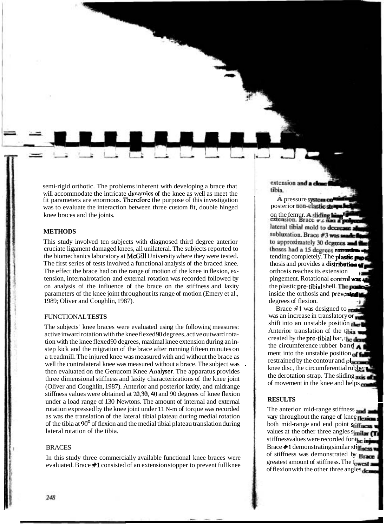semi-rigid orthotic. The problems inherent with developing a brace that will accommodate the intricate **dynamics** of the knee as well as meet the fit parameters are enormous. **Therefore** the purpose of this investigation was to evaluate the interaction between three custom fit, double hinged knee braces and the joints.

# **METHODS**

This study involved ten subjects with diagnosed third degree anterior cruciate ligament damaged knees, all unilateral. The subjects reported to the biomechanics laboratory at McGill University where they were tested. The first series of tests involved a functional analysis of the braced knee. The effect the brace had on the range of motion of the knee in flexion, extension, internalrotation and external rotation was recorded followed by on analysis of the influence of the brace on the stiffness and laxity parameters of the knee joint throughout its range of motion (Emery et al., 1989; Oliver and Coughlin, 1987).

# FUNCTIONAL **TESTS**

The subjects' knee braces were evaluated using the following measures: active inward rotation with the knee flexed 90 degrees, active outward rotation with the knee flexed 90 degrees, maximal knee extension during an instep kick and the migration of the brace after running fifteen minutes on a treadmill. The injured knee was measured with and without the brace as well the contralateral knee was measured without a brace. The subject was then evaluated on the Genucom Knee Analyser. The apparatus provides three dimensional stiffness and laxity characterizations of the knee joint (Oliver and Coughlin, 1987). Anterior and posterior laxity, and midrange stiffness values were obtained at 20,30,40 and 90 degrees of knee flexion under a load range of 130 Newtons. The amount of internal and external rotation expressed by the knee joint under 11 N-m of torque was recorded as was the translation of the lateral tibial plateau during medial rotation of the tibia at 90° of flexion and the medial tibial plateau translation during lateral rotation of the tibia.

# BRACES

In this study three commercially available functional knee braces were evaluated. Brace #1 consisted of an extension stopper to prevent full knee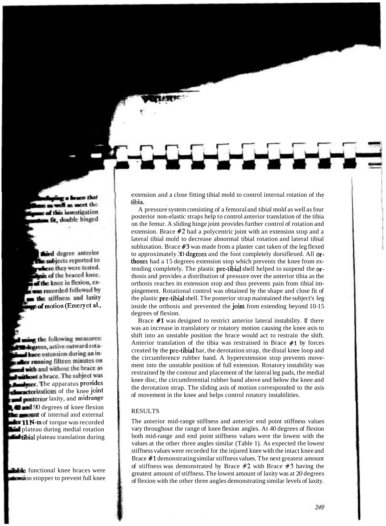extension and a close fitting tibial mold to control internal rotation of the tibia.

A pressure system consisting of a femoral and tibial mold as well as four posterior non-elastic straps help to control anterior translation of the tibia on the femur. A sliding hinge joint provides further control of rotation and extension. Brace #2 had a polycentric joint with an extension stop and a lateral tibial mold to decrease abnormal tibial rotation and lateral tibial subluxation. Brace **#3** was made from a plaster cast taken of the leg flexed to approximately 30 degzees and the foot completely dorsiflexed. All orthoses had a 15 degrees extension stop which prevents the knee from extending completely. The plastic pre-tibia1 shell helped to suspend the orthosis and provides a distribution of pressure over the anterior tibia as the orthosis reaches its extension stop and thus prevents pain from tibial impingement. Rotational control was obtained by the shape and close fit of the plastic pre-tibia1 shell. The posterior strap maintained the subject's leg inside the orthosis and prevented the joint from extending beyond 10-15 degrees of flexion.

Brace #1 was designed to restrict anterior lateral instability. If there was an increase in translatory or rotatory motion causing the knee axis to shift into an unstable position the brace would act to restrain the shift. Anterior translation of the tibia was restrained in Brace #1 by forces created by the pre-tibia1 bar, the derotation strap, the distal knee loop and the circumference rubber band. A hyperextension stop prevents movement into the unstable position of full extension. Rotatory instability was restrained by the contour and placement of the lateral leg pads, the medial knee disc, the circumferential rubber band above and below the knee and the derotation strap. The sliding axis of motion corresponded to the axis of movement in the knee and helps control rotatory instabilities.

#### RESULTS

The anterior mid-range stiffness and anterior end point stiffness values vary throughout the range of knee flexion angles. At 40 degrees of flexion both mid-range and end point stiffness values were the lowest with the values at the other three angles similar (Table 1). As expected the lowest stiffness values were recorded for the injured knee with the intact knee and Brace #1 demonstrating similar stiffness values. The next greatest amount of stiffness was demonstrated by Brace #2 with Brace **#3** having the greatest amount of stiffness. The lowest amount of laxity was at 20 degrees of flexion with the other three angles demonstrating similar levels of laxity.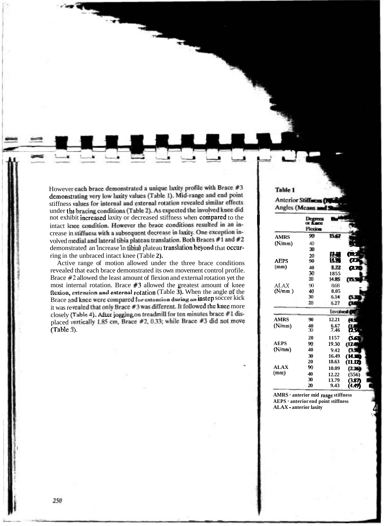However each brace demonstrated a unique laxity profile with Brace #3 demonstrating very low laxity values (Table 1). Mid-range and end point stiffness values for internal and external rotation revealed similar effects under the bracing conditions (Table 2). As expected the involved knee did<br>not exhibit increased laxity or decreased stiffness when compared to the intact knee condition. However the brace conditions resulted in an inintact knee condition. However the brace conditions resulted in an in-<br>crease in stiffness with a subsequent decrease in laxity. One exception in-<br> $\frac{1}{2}$ ,  $\frac{1}{2}$ ,  $\frac{1}{2}$ ,  $\frac{1}{2}$ ,  $\frac{1}{2}$ ,  $\frac{1}{2}$ ,  $\frac{1}{2}$ volved medial and lateral tibia plateau translation. Both Braces #1 and #2 demonstrated an increase in tibial plateau translation beyond that occurring in the unbraced intact knee (Table 2).

Active range of motion allowed under the three brace conditions revealed that each brace demonstrated its own movement control profile. Brace #2 allowed the least amount of flexion and external rotation yet the most internal rotation. Brace #3 allowed the greatest amount of knee **IIIUNTIFY IIIUTHERE IS A STEAD FOR A STATE OF THE AND <b>EXECUTE CONDUCT CONDUCT CONDUCT CONDUCT CONDUCT CONDUCT CONDUCT CONDUCT CONDUCT CONDUCT CONDUCT CONDUCT CONDUCT CONDUCT CONDUCT COND Brace** and it was revealed that only Brace  $#3$  was different. It followed the knee more closely (Table 4). After jogging on treadmill for ten minutes brace #1 displaced v.<br>Table 3 otation (Table 3). When the angle of the<br><sup>I</sup>or extension during an instep soccer kick<br>3 was different. It followed the knee more ). After jogging on treadmill for ten minutes brace #1 dis-<br>+ 1.85 cm . Brace #2.0.33<sup>,</sup> while Brace #3 did not move placed vertically 1.85 cm, Brace #2, 0.33; while Brace #3 did not move<br>(Table 3).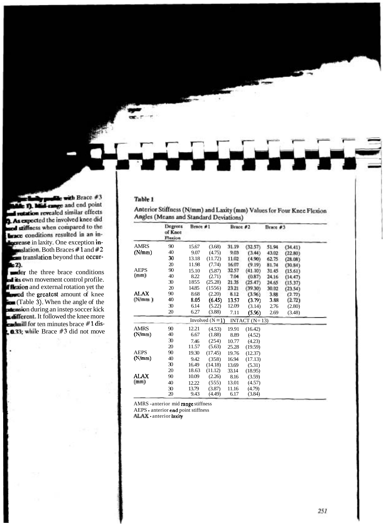# Table 1

|             | Degrees<br>of Knee<br>Flexion | Brace #1 |                  | Brace #2 |                 | Brace #3 |         |  |
|-------------|-------------------------------|----------|------------------|----------|-----------------|----------|---------|--|
| <b>AMRS</b> | 90                            | 15.67    | (3.68)           | 31.19    | (32.57)         | 51.94    | (34.41) |  |
| (N/mm)      | 40                            | 9.07     | (4.75)           | 9.03     | (3.44)          | 43.02    | (22.80) |  |
|             | 30                            | 13.18    | (11.72)          | 11.02    | (4.90)          | 62.75    | (28.08) |  |
|             | 20                            | 11.98    | (7.74)           | 16.07    | (9.19)          | 81.74    | (30.84) |  |
| <b>AEPS</b> | 90                            | 15.10    | (5.87)           | 32.57    | (41.10)         | 31.45    | (15.61) |  |
| (mm)        | 40                            | 8.22     | (2.71)           | 7.04     | (0.87)          | 24.16    | (14.47) |  |
|             | 30                            | 1855     | (25.28)          | 21.35    | (25.47)         | 24.65    | (15.37) |  |
|             | 20                            | 14.85    | (1556)           | 23.21    | (39.30)         | 30.02    | (23.54) |  |
| <b>ALAX</b> | 90                            | 8.68     | (2.20)           | 8.12     | (3.96)          | 3.88     | (2.72)  |  |
| (N/mm)      | 40                            | 8.05     | (6.45)           | 13.57    | (3.79)          | 3.88     | (2.72)  |  |
|             | 30                            | 6.14     | (5.22)           | 12.09    | (3.14)          | 2.76     | (2.80)  |  |
|             | 20                            | 6.27     | (3.88)           | 7.11     | (5.96)          | 2.69     | (3.48)  |  |
|             |                               |          | Involved $(N=1)$ |          | INTACT $(N=13)$ |          |         |  |
| AMRS        | 90                            | 12.21    | (4.53)           | 19.91    | (16.42)         |          |         |  |
| (N/mm)      | 40                            | 6.67     | (1.88)           | 8.89     | (4.52)          |          |         |  |
|             | 30                            | 7.46     | (254)            | 10.77    | (4.23)          |          |         |  |
|             | 20                            | 11.57    | (5.63)           | 25.28    | (19.59)         |          |         |  |
| <b>AEPS</b> | 90                            | 19.30    | (17.45)          | 19.76    | (12.37)         |          |         |  |
| (N/mm)      | 40                            | 9.42     | (358)            | 16.94    | (17.13)         |          |         |  |
|             | 30                            | 16.49    | (14.18)          | 13.69    | (5.31)          |          |         |  |
|             | 20                            | 18.63    | (11.12)          | 33.14    | (18.95)         |          |         |  |
| <b>ALAX</b> | 90                            | 10.09    | (2.26)           | 8.16     | (3.59)          |          |         |  |
| (mm)        | 40                            | 12.22    | (555)            | 13.01    | (4.57)          |          |         |  |
|             | 30                            | 13.79    | (3.87)           | 11.16    | (4.79)          |          |         |  |
|             | 20                            | 9.43     | (4.49)           | 6.17     | (3.84)          |          |         |  |

Anterior Stiffness (N/mm) and Laxity (mm) Values for Four Knee Flexion<br>Angles (Means and Standard Deviations)

AMRS -anterior mid range stiffness

AEPS - anterior end point stiffness<br>**ALAX** - anterior laxity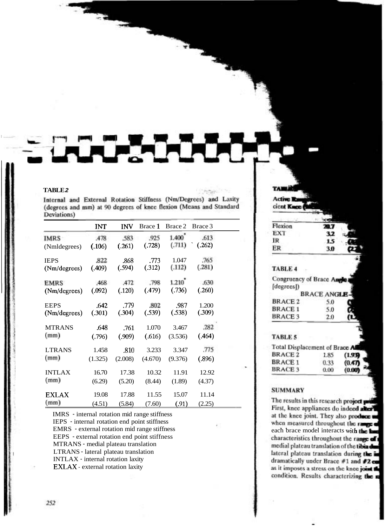#### **TABLE 2**

Internal and External Rotation Stiffness (Nm/Degrees) and Laxity (degrees and mm) at 90 degrees of knee flexion (Means and Standard Deviations)

|               | <b>INT</b> | <b>INV</b> | Brace 1 | Brace 2 | Brace 3 |  |
|---------------|------------|------------|---------|---------|---------|--|
| <b>IMRS</b>   | .478       | .583       | .925    | 1.400   | .613    |  |
| (Nmldegrees)  | (.106)     | (.261)     | (.728)  | (.711)  | (.262)  |  |
| <b>IEPS</b>   | 822        | .868       | .773    | 1.047   | .765    |  |
| (Nm/degrees)  | (.409)     | (.594)     | (.312)  | (.112)  | (.281)  |  |
| <b>EMRS</b>   | <b>468</b> | A72        | .798    | 1.210   | .630    |  |
| (Nm/degrees)  | (.092)     | (.120)     | (.479)  | (.736)  | (.260)  |  |
| <b>EEPS</b>   | .642       | .779       | .802    | .987    | 1.200   |  |
| (Nm/degrees)  | (.301)     | (.304)     | (.539)  | (.538)  | (.309)  |  |
| <b>MTRANS</b> | .648       | .761       | 1.070   | 3.467   | .282    |  |
| (mm)          | (.796)     | (.909)     | (.616)  | (3.536) | (.464)  |  |
| <b>LTRANS</b> | 1.458      | .810       | 3.233   | 3.347   | .775    |  |
| (mm)          | (1.325)    | (2.008)    | (4.670) | (9.376) | (.896)  |  |
| <b>INTLAX</b> | 16.70      | 17.38      | 10.32   | 11.91   | 12.92   |  |
| (mm)          | (6.29)     | (5.20)     | (8.44)  | (1.89)  | (4.37)  |  |
| <b>EXLAX</b>  | 19.08      | 17.88      | 11.55   | 15.07   | 11.14   |  |
| (mm)          | (4.51)     | (5.84)     | (7.60)  | (.91)   | (2.25)  |  |

IMRS - internal rotation mid range stiffness

IEPS - internal rotation end point stiffness

EMRS - external rotation mid range stiffness

EEPS - external rotation end point stiffness

MTRANS - medial plateau translation

LTRANS - lateral plateau translation

INTLAX - internal rotation laxity

EXLAX - external rotation laxity

252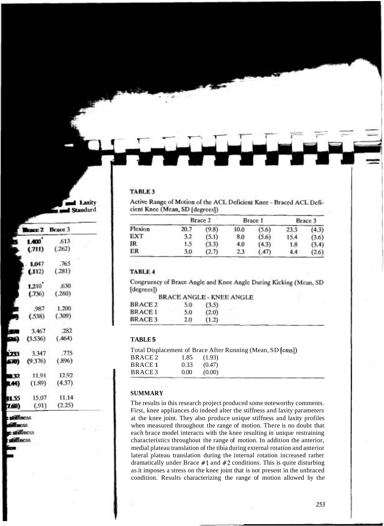### TABLE 3

| from the monthly |         |       |         |       |         |       |  |
|------------------|---------|-------|---------|-------|---------|-------|--|
|                  | Brace 2 |       | Brace 1 |       | Brace 3 |       |  |
| Flexion          | 20.7    | (9.8) | 10.0    | (5.6) | 23.3    | (4.3) |  |
| EXT              | 3.2     | (5.1) | 8.0     | (5.6) | 15.4    | (3.6) |  |
| IR.              | 1.5     | (3.3) | 4.0     | (4.3) | 1.8     | (3.4) |  |
| ER               | 3.0     | (2.7) | 2.3     | (.47) | 4,4     | (2.6) |  |

Active Range of Motion of the ACL Deficient Knee - Braced ACL Deficient Knee (Mean, SD IdeoreesI).

# TABLE 4

Congruency of Brace Angle and Knee Angle During Kicking (Mean, SD [degrees])

| BRACE 3        | 2.0 | (1.2)                    |  |
|----------------|-----|--------------------------|--|
| <b>BRACE1</b>  | 5.0 | (2.0)                    |  |
| <b>BRACE 2</b> | 5.0 | (3.5)                    |  |
|                |     | BRACE ANGLE - KNEE ANGLE |  |

## **TABLE 5**

|                |                   | Total Displacement of Brace After Running (Mean, SD [cms]) |  |
|----------------|-------------------|------------------------------------------------------------|--|
| BRACE 2        | 1.85              | (1.93)                                                     |  |
| <b>BRACE 1</b> | 0.33              | (0.47)                                                     |  |
| BRACE 3        | 0.00 <sub>1</sub> | (0.00)                                                     |  |
|                |                   |                                                            |  |

# **SUMMARY**

The results in this research project produced some noteworthy comments. First, knee appliances do indeed alter the stiffness and laxity parameters at the knee joint. They also produce unique stiffness and laxity profiles when measured throughout the range of motion. There is no doubt that each brace model interacts with the knee resulting in unique restraining characteristics throughout the range of motion. In addition the anterior, medial plateau translation of the tibia during external rotation and anterior lateral plateau translation during the internal rotation increased rather dramatically under Brace **#1** and *#2* conditions. This is quite disturbing as it imposes a stress on the knee joint that is not present in the unbraced condition. Results characterizing the range of motion allowed by the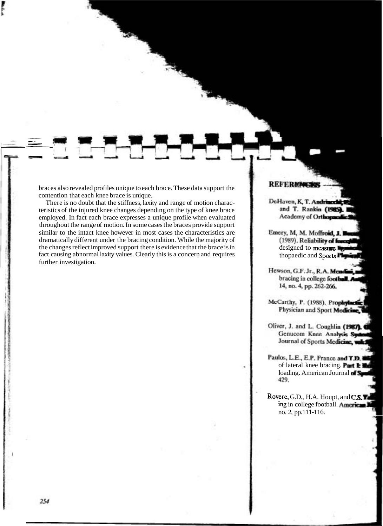braces also revealed profiles unique to each brace. These data support the contention that each knee brace is unique.

There is no doubt that the stiffness, laxity and range of motion characteristics of the injured knee changes depending on the type of knee brace employed. In fact each brace expresses a unique profile when evaluated throughout the range of motion. In some cases the braces provide support similar to the intact knee however in most cases the characteristics are dramatically different under the bracing condition. While the majority of the changes reflect improved support there is evidence that the brace is in fact causing abnormal laxity values. Clearly this is a concern and requires further investigation.